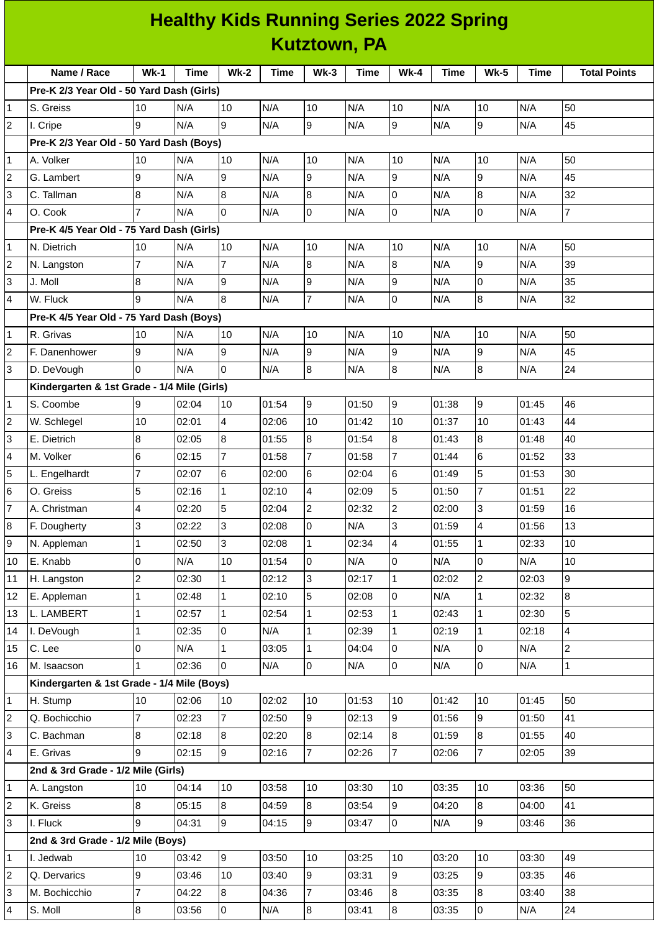## **Healthy Kids Running Series 2022 Spring Kutztown, PA**

|                | Name / Race                                 | $Wk-1$         | <b>Time</b> | <b>Wk-2</b>    | <b>Time</b> | $Wk-3$           | <b>Time</b> | <b>Wk-4</b>    | <b>Time</b> | <b>Wk-5</b>    | <b>Time</b> | <b>Total Points</b> |
|----------------|---------------------------------------------|----------------|-------------|----------------|-------------|------------------|-------------|----------------|-------------|----------------|-------------|---------------------|
|                | Pre-K 2/3 Year Old - 50 Yard Dash (Girls)   |                |             |                |             |                  |             |                |             |                |             |                     |
| 1              | S. Greiss                                   | 10             | N/A         | 10             | N/A         | 10               | N/A         | 10             | N/A         | 10             | N/A         | 50                  |
| $\overline{2}$ | I. Cripe                                    | 9              | N/A         | 9              | N/A         | 9                | N/A         | $\overline{9}$ | N/A         | 9              | N/A         | 45                  |
|                | Pre-K 2/3 Year Old - 50 Yard Dash (Boys)    |                |             |                |             |                  |             |                |             |                |             |                     |
| 1              | A. Volker                                   | 10             | N/A         | 10             | N/A         | 10               | N/A         | 10             | N/A         | 10             | N/A         | 50                  |
| 2              | G. Lambert                                  | 9              | N/A         | 9              | N/A         | 9                | N/A         | 9              | N/A         | 9              | N/A         | 45                  |
| 3              | C. Tallman                                  | 8              | N/A         | 8              | N/A         | $\overline{8}$   | N/A         | 0              | N/A         | 8              | N/A         | 32                  |
| 4              | O. Cook                                     | 7              | N/A         | 0              | N/A         | l0               | N/A         | $\Omega$       | N/A         | 0              | N/A         | $\overline{7}$      |
|                | Pre-K 4/5 Year Old - 75 Yard Dash (Girls)   |                |             |                |             |                  |             |                |             |                |             |                     |
| 1              | N. Dietrich                                 | 10             | N/A         | 10             | N/A         | 10               | N/A         | 10             | N/A         | 10             | N/A         | 50                  |
| 2              | N. Langston                                 | $\overline{7}$ | N/A         | $\overline{7}$ | N/A         | 8                | N/A         | 8              | N/A         | 9              | N/A         | 39                  |
| 3              | J. Moll                                     | 8              | N/A         | 9              | N/A         | 9                | N/A         | 9              | N/A         | 0              | N/A         | 35                  |
| 4              | W. Fluck                                    | 9              | N/A         | 8              | N/A         | $\overline{7}$   | N/A         | 0              | N/A         | 8              | N/A         | 32                  |
|                | Pre-K 4/5 Year Old - 75 Yard Dash (Boys)    |                |             |                |             |                  |             |                |             |                |             |                     |
| 1              | R. Grivas                                   | 10             | N/A         | 10             | N/A         | 10               | N/A         | 10             | N/A         | 10             | N/A         | 50                  |
| 2              | F. Danenhower                               | 9              | N/A         | 9              | N/A         | l9               | N/A         | 9              | N/A         | 9              | N/A         | 45                  |
| 3              | D. DeVough                                  | 0              | N/A         | $\Omega$       | N/A         | $\overline{8}$   | N/A         | 8              | N/A         | 8              | N/A         | 24                  |
|                | Kindergarten & 1st Grade - 1/4 Mile (Girls) |                |             |                |             |                  |             |                |             |                |             |                     |
| 1              | S. Coombe                                   | 9              | 02:04       | 10             | 01:54       | 9                | 01:50       | 9              | 01:38       | 9              | 01:45       | 46                  |
| 2              | W. Schlegel                                 | 10             | 02:01       | 4              | 02:06       | 10               | 01:42       | 10             | 01:37       | 10             | 01:43       | 44                  |
| 3              | E. Dietrich                                 | $\bf{8}$       | 02:05       | 8              | 01:55       | $\overline{8}$   | 01:54       | 8              | 01:43       | 8              | 01:48       | 40                  |
| 4              | M. Volker                                   | 6              | 02:15       | $\overline{7}$ | 01:58       | $\overline{7}$   | 01:58       | $\overline{7}$ | 01:44       | 6              | 01:52       | 33                  |
| 5              | L. Engelhardt                               | 7              | 02:07       | 6              | 02:00       | 6                | 02:04       | 6              | 01:49       | 5              | 01:53       | 30                  |
| 6              | O. Greiss                                   | 5              | 02:16       | $\mathbf{1}$   | 02:10       | $\overline{4}$   | 02:09       | 5              | 01:50       | $\overline{7}$ | 01:51       | 22                  |
| 7              | A. Christman                                | 4              | 02:20       | 5              | 02:04       | $\overline{c}$   | 02:32       | $\overline{c}$ | 02:00       | 3              | 01:59       | 16                  |
| 8              | F. Dougherty                                | 3              | 02:22       | 3              | 02:08       | l0               | N/A         | 3              | 01:59       | 4              | 01:56       | 13                  |
| 9              | N. Appleman                                 | $\mathbf{1}$   | 02:50       | 3              | 02:08       | $\mathbf{1}$     | 02:34       | 4              | 01:55       | $\mathbf{1}$   | 02:33       | 10                  |
| 10             | E. Knabb                                    | 0              | N/A         | 10             | 01:54       | 0                | N/A         | $\overline{0}$ | N/A         | $\overline{0}$ | N/A         | 10                  |
| 11             | H. Langston                                 | $\overline{c}$ | 02:30       | $\mathbf{1}$   | 02:12       | 3                | 02:17       | $\mathbf 1$    | 02:02       | $\overline{c}$ | 02:03       | 9                   |
| 12             | E. Appleman                                 | $\mathbf{1}$   | 02:48       | $\mathbf{1}$   | 02:10       | 5                | 02:08       | $\overline{0}$ | N/A         | $\mathbf{1}$   | 02:32       | 8                   |
| 13             | L. LAMBERT                                  | $\mathbf{1}$   | 02:57       | $\mathbf{1}$   | 02:54       | $\mathbf{1}$     | 02:53       | $\mathbf{1}$   | 02:43       | $\mathbf{1}$   | 02:30       | 5                   |
| 14             | I. DeVough                                  | $\mathbf{1}$   | 02:35       | 0              | N/A         | $\mathbf{1}$     | 02:39       | $\mathbf{1}$   | 02:19       | $\mathbf{1}$   | 02:18       | 4                   |
| 15             | C. Lee                                      | $\overline{0}$ | N/A         | $\mathbf{1}$   | 03:05       | $\mathbf{1}$     | 04:04       | 0              | N/A         | $\mathsf{O}$   | N/A         | $\overline{2}$      |
| 16             | M. Isaacson                                 | 1              | 02:36       | 0              | N/A         | lo               | N/A         | $\overline{0}$ | N/A         | $\overline{0}$ | N/A         | $\mathbf{1}$        |
|                | Kindergarten & 1st Grade - 1/4 Mile (Boys)  |                |             |                |             |                  |             |                |             |                |             |                     |
| 1              | H. Stump                                    | 10             | 02:06       | 10             | 02:02       | 10               | 01:53       | 10             | 01:42       | 10             | 01:45       | 50                  |
| 2              | Q. Bochicchio                               | 7              | 02:23       | $\overline{7}$ | 02:50       | 9                | 02:13       | 9              | 01:56       | 9              | 01:50       | 41                  |
| 3              | C. Bachman                                  | $\bf{8}$       | 02:18       | 8              | 02:20       | 8                | 02:14       | $8\,$          | 01:59       | 8              | 01:55       | 40                  |
| 4              | E. Grivas                                   | 9              | 02:15       | 9              | 02:16       | $\overline{7}$   | 02:26       | $\overline{7}$ | 02:06       | $\overline{7}$ | 02:05       | 39                  |
|                | 2nd & 3rd Grade - 1/2 Mile (Girls)          |                |             |                |             |                  |             |                |             |                |             |                     |
| 1              | A. Langston                                 | 10             | 04:14       | 10             | 03:58       | 10               | 03:30       | 10             | 03:35       | 10             | 03:36       | 50                  |
| 2              | K. Greiss                                   | $\overline{8}$ | 05:15       | $8\,$          | 04:59       | 8                | 03:54       | $\overline{9}$ | 04:20       | 8              | 04:00       | 41                  |
| 3              | I. Fluck                                    | 9              | 04:31       | 9              | 04:15       | 9                | 03:47       | $\overline{0}$ | N/A         | 9              | 03:46       | 36                  |
|                | 2nd & 3rd Grade - 1/2 Mile (Boys)           |                |             |                |             |                  |             |                |             |                |             |                     |
| 1              | I. Jedwab                                   | 10             | 03:42       | $\overline{9}$ | 03:50       | 10               | 03:25       | 10             | 03:20       | 10             | 03:30       | 49                  |
| 2              | Q. Dervarics                                | 9              | 03:46       | 10             | 03:40       | 9                | 03:31       | 9              | 03:25       | 9              | 03:35       | 46                  |
| 3              | M. Bochicchio                               | 7              | 04:22       | 8              | 04:36       | 7                | 03:46       | 8              | 03:35       | 8              | 03:40       | 38                  |
| 4              | S. Moll                                     | $\bf{8}$       | 03:56       | $\overline{0}$ | N/A         | $\boldsymbol{8}$ | 03:41       | $\bf{8}$       | 03:35       | $\overline{0}$ | N/A         | 24                  |
|                |                                             |                |             |                |             |                  |             |                |             |                |             |                     |